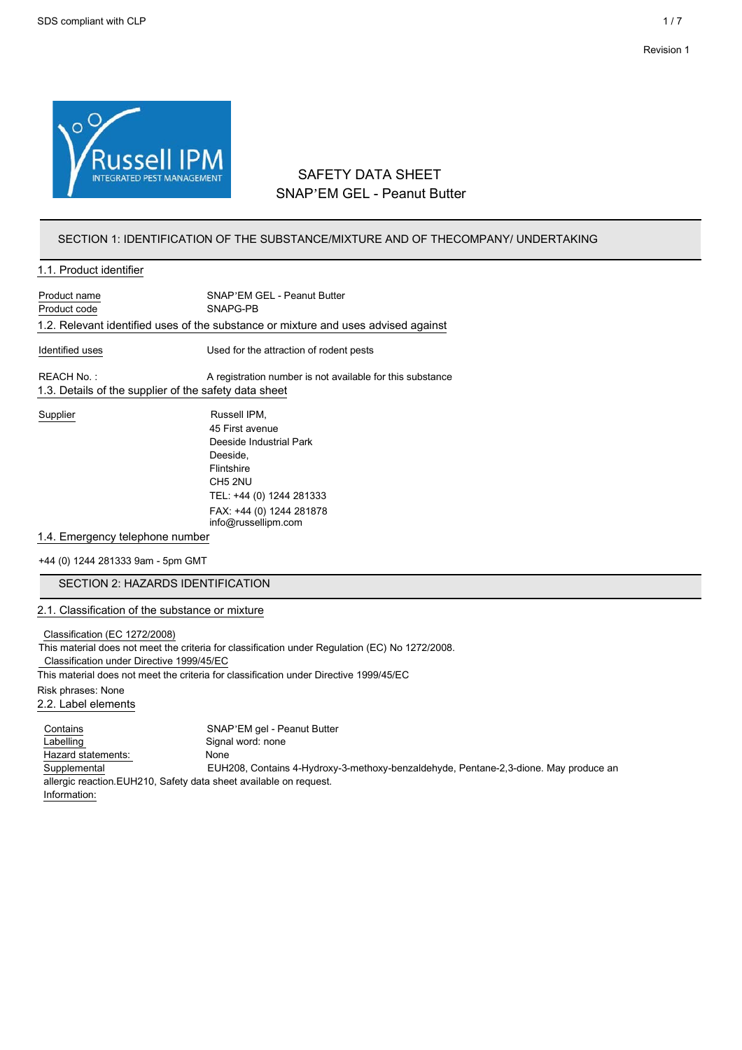

## SECTION 1: IDENTIFICATION OF THE SUBSTANCE/MIXTURE AND OF THECOMPANY/ UNDERTAKING

#### 1.1. Product identifier

| Product name<br>Product code                                        | <b>SNAP'EM GEL - Peanut Butter</b><br>SNAPG-PB                                                                                                                                             |
|---------------------------------------------------------------------|--------------------------------------------------------------------------------------------------------------------------------------------------------------------------------------------|
|                                                                     | 1.2. Relevant identified uses of the substance or mixture and uses advised against                                                                                                         |
| Identified uses                                                     | Used for the attraction of rodent pests                                                                                                                                                    |
| REACH No.:<br>1.3. Details of the supplier of the safety data sheet | A registration number is not available for this substance                                                                                                                                  |
| Supplier                                                            | Russell IPM.<br>45 First avenue<br>Deeside Industrial Park<br>Deeside,<br>Flintshire<br>CH <sub>5</sub> 2NU<br>TEL: +44 (0) 1244 281333<br>FAX: +44 (0) 1244 281878<br>info@russellipm.com |

#### 1.4. Emergency telephone number

+44 (0) 1244 281333 9am - 5pm GMT

#### SECTION 2: HAZARDS IDENTIFICATION

#### 2.1. Classification of the substance or mixture

Classification (EC 1272/2008)

This material does not meet the criteria for classification under Regulation (EC) No 1272/2008.

Classification under Directive 1999/45/EC

This material does not meet the criteria for classification under Directive 1999/45/EC

Risk phrases: None

2.2. Label elements

| Contains           | SNAP'EM gel - Peanut Butter                                                          |
|--------------------|--------------------------------------------------------------------------------------|
| Labelling          | Signal word: none                                                                    |
| Hazard statements: | None                                                                                 |
| Supplemental       | EUH208, Contains 4-Hydroxy-3-methoxy-benzaldehyde, Pentane-2,3-dione. May produce an |
|                    | allergic reaction. EUH210, Safety data sheet available on request.                   |
| Information:       |                                                                                      |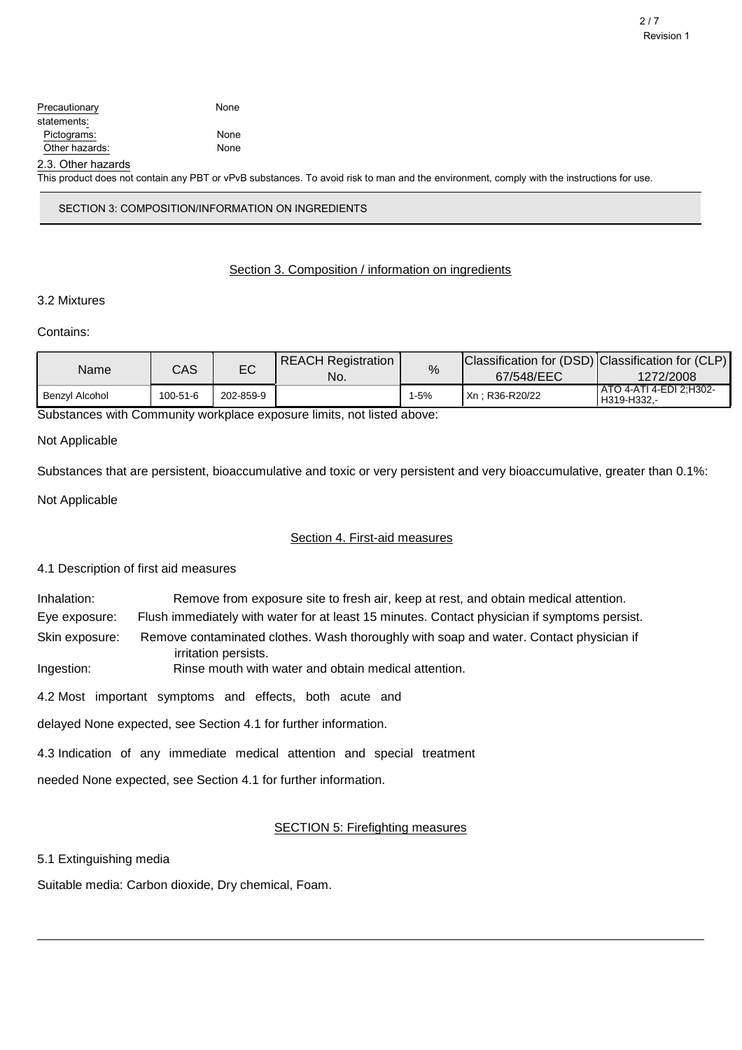| Precautionary      | None |                                                                                                                                           |
|--------------------|------|-------------------------------------------------------------------------------------------------------------------------------------------|
| statements:        |      |                                                                                                                                           |
| Pictograms:        | None |                                                                                                                                           |
| Other hazards:     | None |                                                                                                                                           |
| 2.3. Other hazards |      |                                                                                                                                           |
|                    |      | This product does not contain any PBT or vPvB substances. To avoid risk to man and the environment, comply with the instructions for use. |

SECTION 3: COMPOSITION/INFORMATION ON INGREDIENTS

#### Section 3. Composition / information on ingredients

## 3.2 Mixtures

#### Contains:

| Name           | CAS      | EC        | <b>REACH Registration</b><br>No. | $\%$  | Classification for (DSD) Classification for (CLP)<br>67/548/EEC | 1272/2008                              |
|----------------|----------|-----------|----------------------------------|-------|-----------------------------------------------------------------|----------------------------------------|
| Benzvl Alcohol | 100-51-6 | 202-859-9 |                                  | $-5%$ | Xn: R36-R20/22                                                  | ATO 4-ATI 4-EDI 2:H302-<br>H319-H332.- |

Substances with Community workplace exposure limits, not listed above:

#### Not Applicable

Substances that are persistent, bioaccumulative and toxic or very persistent and very bioaccumulative, greater than 0.1%: Not Applicable

## Section 4. First-aid measures

4.1 Description of first aid measures

Inhalation: Remove from exposure site to fresh air, keep at rest, and obtain medical attention.

Eye exposure: Flush immediately with water for at least 15 minutes. Contact physician if symptoms persist.

Skin exposure: Remove contaminated clothes. Wash thoroughly with soap and water. Contact physician if irritation persists.

Ingestion: Rinse mouth with water and obtain medical attention.

4.2 Most important symptoms and effects, both acute and

delayed None expected, see Section 4.1 for further information.

4.3 Indication of any immediate medical attention and special treatment

needed None expected, see Section 4.1 for further information.

## SECTION 5: Firefighting measures

5.1 Extinguishing media

Suitable media: Carbon dioxide, Dry chemical, Foam.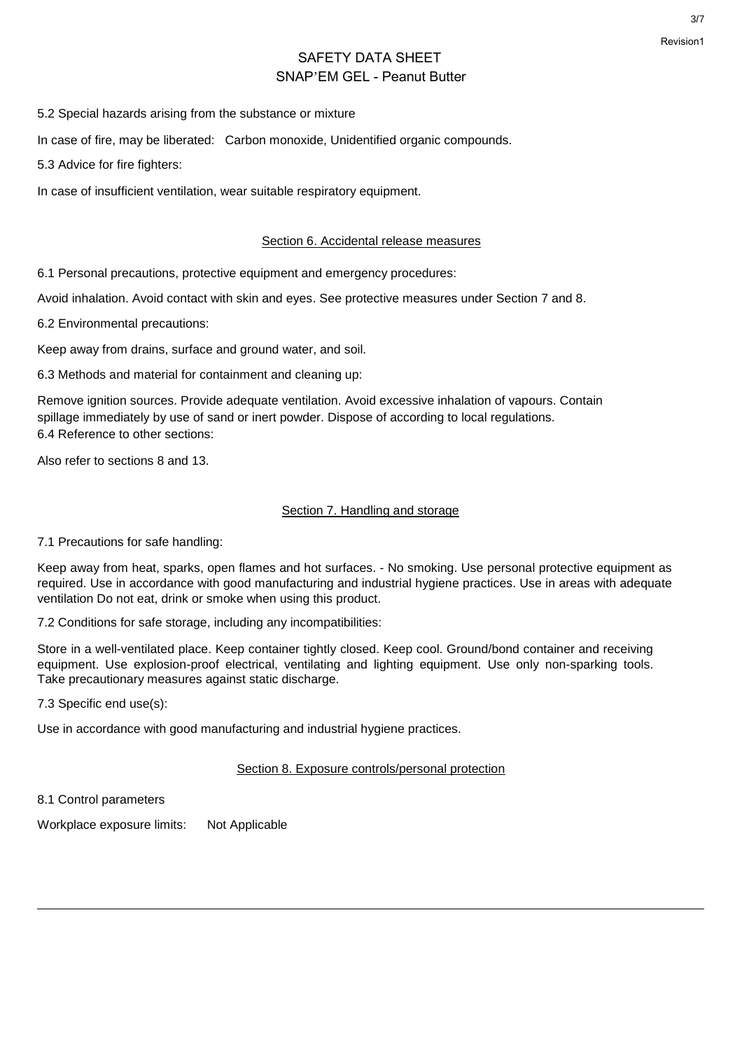#### Revision1

# SAFETY DATA SHEET SNAP'EM GEL - Peanut Butter

5.2 Special hazards arising from the substance or mixture

In case of fire, may be liberated: Carbon monoxide, Unidentified organic compounds.

5.3 Advice for fire fighters:

In case of insufficient ventilation, wear suitable respiratory equipment.

#### Section 6. Accidental release measures

6.1 Personal precautions, protective equipment and emergency procedures:

Avoid inhalation. Avoid contact with skin and eyes. See protective measures under Section 7 and 8.

6.2 Environmental precautions:

Keep away from drains, surface and ground water, and soil.

6.3 Methods and material for containment and cleaning up:

Remove ignition sources. Provide adequate ventilation. Avoid excessive inhalation of vapours. Contain spillage immediately by use of sand or inert powder. Dispose of according to local regulations. 6.4 Reference to other sections:

Also refer to sections 8 and 13.

## Section 7. Handling and storage

7.1 Precautions for safe handling:

Keep away from heat, sparks, open flames and hot surfaces. - No smoking. Use personal protective equipment as required. Use in accordance with good manufacturing and industrial hygiene practices. Use in areas with adequate ventilation Do not eat, drink or smoke when using this product.

7.2 Conditions for safe storage, including any incompatibilities:

Store in a well-ventilated place. Keep container tightly closed. Keep cool. Ground/bond container and receiving equipment. Use explosion-proof electrical, ventilating and lighting equipment. Use only non-sparking tools. Take precautionary measures against static discharge.

7.3 Specific end use(s):

Use in accordance with good manufacturing and industrial hygiene practices.

## Section 8. Exposure controls/personal protection

8.1 Control parameters

Workplace exposure limits: Not Applicable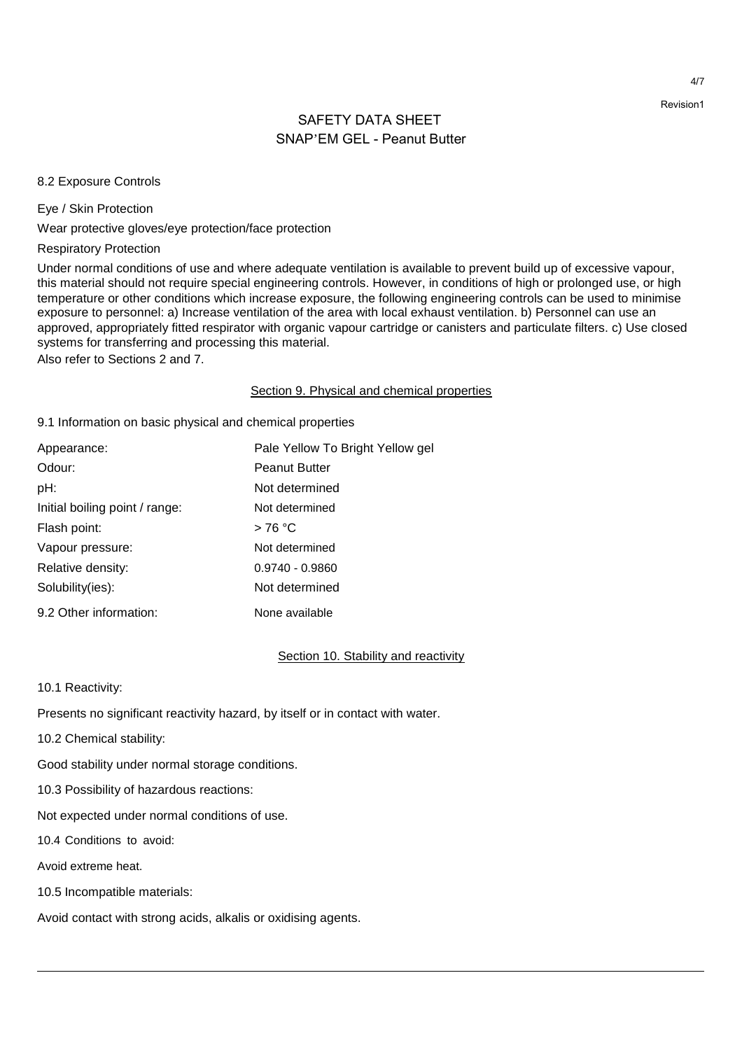4/7

# SAFETY DATA SHEET SNAP'EM GEL - Peanut Butter

#### 8.2 Exposure Controls

Eye / Skin Protection

Wear protective gloves/eye protection/face protection

Respiratory Protection

Under normal conditions of use and where adequate ventilation is available to prevent build up of excessive vapour, this material should not require special engineering controls. However, in conditions of high or prolonged use, or high temperature or other conditions which increase exposure, the following engineering controls can be used to minimise exposure to personnel: a) Increase ventilation of the area with local exhaust ventilation. b) Personnel can use an approved, appropriately fitted respirator with organic vapour cartridge or canisters and particulate filters. c) Use closed systems for transferring and processing this material.

Also refer to Sections 2 and 7.

#### Section 9. Physical and chemical properties

9.1 Information on basic physical and chemical properties

| Appearance:                    | Pale Yellow To Bright Yellow gel |
|--------------------------------|----------------------------------|
| Odour:                         | <b>Peanut Butter</b>             |
| pH:                            | Not determined                   |
| Initial boiling point / range: | Not determined                   |
| Flash point:                   | >76 °C                           |
| Vapour pressure:               | Not determined                   |
| Relative density:              | $0.9740 - 0.9860$                |
| Solubility(ies):               | Not determined                   |
| 9.2 Other information:         | None available                   |

Section 10. Stability and reactivity

10.1 Reactivity:

Presents no significant reactivity hazard, by itself or in contact with water.

10.2 Chemical stability:

Good stability under normal storage conditions.

10.3 Possibility of hazardous reactions:

Not expected under normal conditions of use.

10.4 Conditions to avoid:

Avoid extreme heat.

10.5 Incompatible materials:

Avoid contact with strong acids, alkalis or oxidising agents.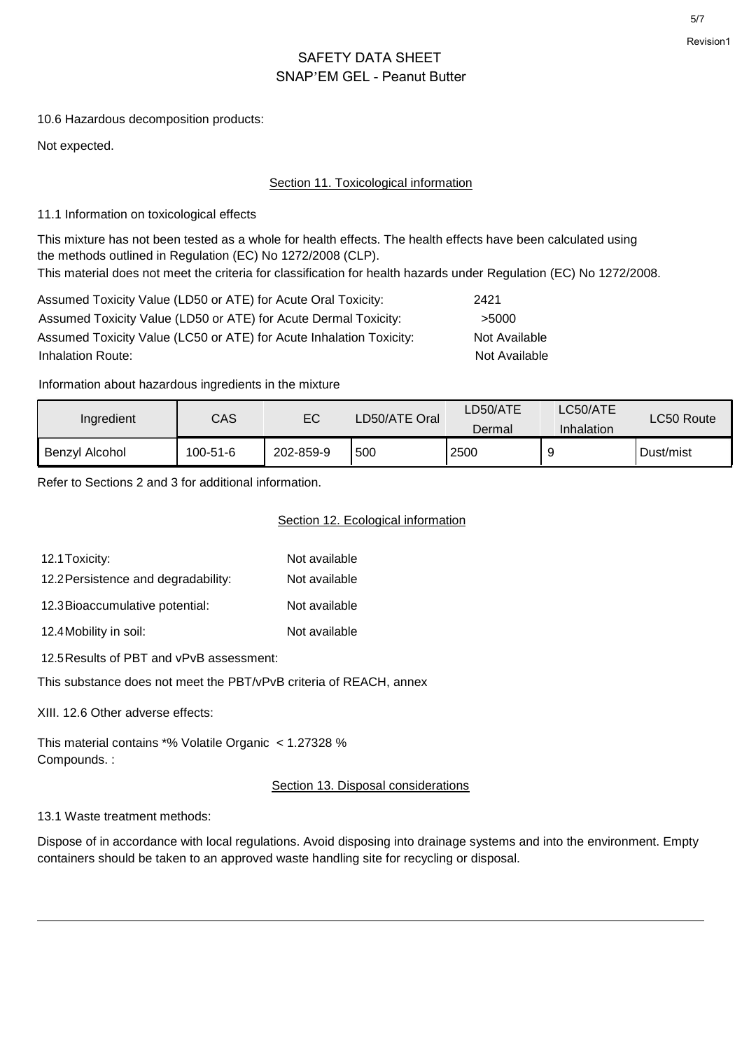10.6 Hazardous decomposition products:

Not expected.

## Section 11. Toxicological information

## 11.1 Information on toxicological effects

This mixture has not been tested as a whole for health effects. The health effects have been calculated using the methods outlined in Regulation (EC) No 1272/2008 (CLP).

This material does not meet the criteria for classification for health hazards under Regulation (EC) No 1272/2008.

| Assumed Toxicity Value (LD50 or ATE) for Acute Oral Toxicity:       | 2421          |
|---------------------------------------------------------------------|---------------|
| Assumed Toxicity Value (LD50 or ATE) for Acute Dermal Toxicity:     | >5000         |
| Assumed Toxicity Value (LC50 or ATE) for Acute Inhalation Toxicity: | Not Available |
| Inhalation Route:                                                   | Not Available |

Information about hazardous ingredients in the mixture

| Ingredient     | CAS      | EС        | LD50/ATE Oral | LD50/ATE<br>Dermal | LC50/ATE<br>Inhalation | LC50 Route |
|----------------|----------|-----------|---------------|--------------------|------------------------|------------|
| Benzyl Alcohol | 100-51-6 | 202-859-9 | 500           | 2500               |                        | Dust/mist  |

Refer to Sections 2 and 3 for additional information.

#### Section 12. Ecological information

| 12.1 Toxicity:                      | Not available |
|-------------------------------------|---------------|
| 12.2 Persistence and degradability: | Not available |
| 12.3 Bioaccumulative potential:     | Not available |
| 12.4 Mobility in soil:              | Not available |

12.5Results of PBT and vPvB assessment:

This substance does not meet the PBT/vPvB criteria of REACH, annex

XIII. 12.6 Other adverse effects:

This material contains \*% Volatile Organic < 1.27328 % Compounds. :

## Section 13. Disposal considerations

13.1 Waste treatment methods:

Dispose of in accordance with local regulations. Avoid disposing into drainage systems and into the environment. Empty containers should be taken to an approved waste handling site for recycling or disposal.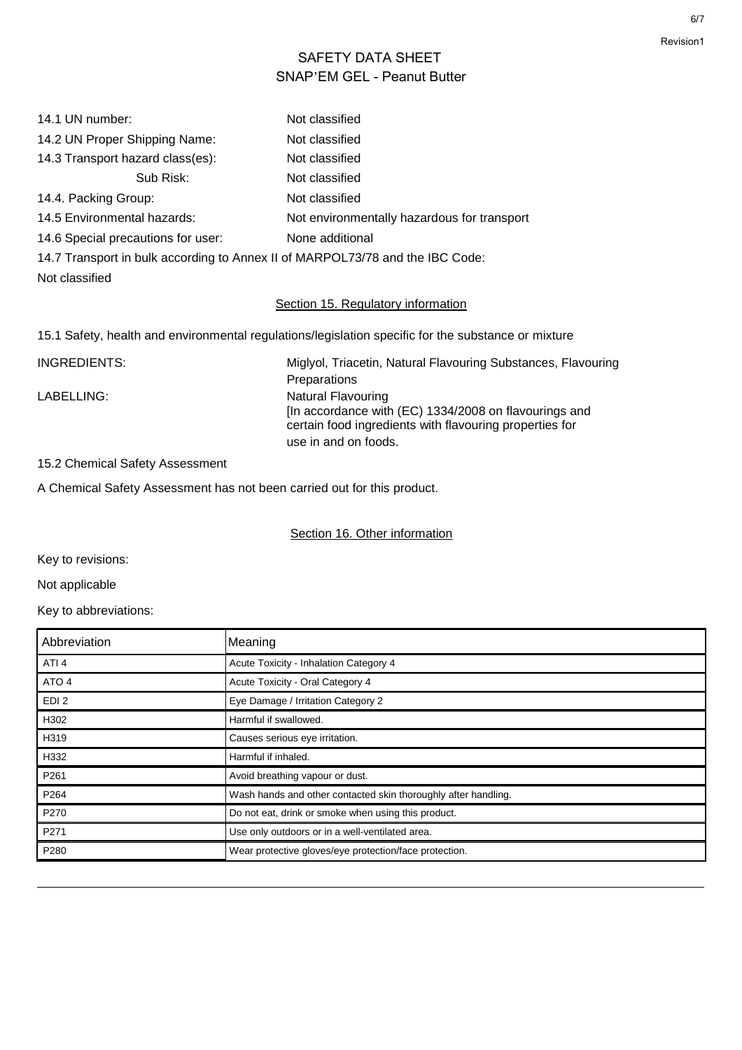| 14.1 UN number:                                                               | Not classified                              |
|-------------------------------------------------------------------------------|---------------------------------------------|
| 14.2 UN Proper Shipping Name:                                                 | Not classified                              |
| 14.3 Transport hazard class(es):                                              | Not classified                              |
| Sub Risk:                                                                     | Not classified                              |
| 14.4. Packing Group:                                                          | Not classified                              |
| 14.5 Environmental hazards:                                                   | Not environmentally hazardous for transport |
| 14.6 Special precautions for user:                                            | None additional                             |
| 14.7 Transport in bulk according to Annex II of MARPOL73/78 and the IBC Code: |                                             |

Not classified

## Section 15. Regulatory information

15.1 Safety, health and environmental regulations/legislation specific for the substance or mixture

INGREDIENTS: Miglyol, Triacetin, Natural Flavouring Substances, Flavouring Preparations LABELLING: Natural Flavouring [In accordance with (EC) 1334/2008 on flavourings and certain food ingredients with flavouring properties for use in and on foods.

## 15.2 Chemical Safety Assessment

A Chemical Safety Assessment has not been carried out for this product.

Section 16. Other information

Key to revisions:

Not applicable

Key to abbreviations:

| Abbreviation     | Meaning                                                        |
|------------------|----------------------------------------------------------------|
| ATI <sub>4</sub> | Acute Toxicity - Inhalation Category 4                         |
| ATO 4            | Acute Toxicity - Oral Category 4                               |
| EDI <sub>2</sub> | Eye Damage / Irritation Category 2                             |
| H302             | Harmful if swallowed.                                          |
| H319             | Causes serious eye irritation.                                 |
| H332             | Harmful if inhaled.                                            |
| P261             | Avoid breathing vapour or dust.                                |
| P264             | Wash hands and other contacted skin thoroughly after handling. |
| P270             | Do not eat, drink or smoke when using this product.            |
| P271             | Use only outdoors or in a well-ventilated area.                |
| P280             | Wear protective gloves/eye protection/face protection.         |